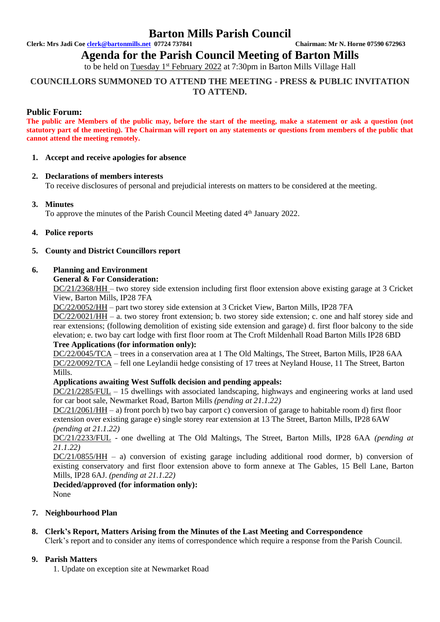# **Barton Mills Parish Council**

**Clerk: Mrs Jadi Coe [clerk@bartonmills.net](mailto:clerk@bartonmills.net) 07724 737841 Chairman: Mr N. Horne 07590 672963**

# **Agenda for the Parish Council Meeting of Barton Mills**

to be held on Tuesday 1<sup>st</sup> February 2022 at 7:30pm in Barton Mills Village Hall

# **COUNCILLORS SUMMONED TO ATTEND THE MEETING - PRESS & PUBLIC INVITATION TO ATTEND.**

## **Public Forum:**

**The public are Members of the public may, before the start of the meeting, make a statement or ask a question (not statutory part of the meeting). The Chairman will report on any statements or questions from members of the public that cannot attend the meeting remotely.**

#### **1. Accept and receive apologies for absence**

## **2. Declarations of members interests**

To receive disclosures of personal and prejudicial interests on matters to be considered at the meeting.

## **3. Minutes**

To approve the minutes of the Parish Council Meeting dated 4<sup>th</sup> January 2022.

#### **4. Police reports**

## **5. County and District Councillors report**

#### **6. Planning and Environment**

#### **General & For Consideration:**

DC/21/2368/HH – two storey side extension including first floor extension above existing garage at 3 Cricket View, Barton Mills, IP28 7FA

DC/22/0052/HH – part two storey side extension at 3 Cricket View, Barton Mills, IP28 7FA

DC/22/0021/HH – a. two storey front extension; b. two storey side extension; c. one and half storey side and rear extensions; (following demolition of existing side extension and garage) d. first floor balcony to the side elevation; e. two bay cart lodge with first floor room at The Croft Mildenhall Road Barton Mills IP28 6BD

# **Tree Applications (for information only):**

DC/22/0045/TCA – trees in a conservation area at 1 The Old Maltings, The Street, Barton Mills, IP28 6AA DC/22/0092/TCA – fell one Leylandii hedge consisting of 17 trees at Neyland House, 11 The Street, Barton Mills.

## **Applications awaiting West Suffolk decision and pending appeals:**

DC/21/2285/FUL – 15 dwellings with associated landscaping, highways and engineering works at land used for car boot sale, Newmarket Road, Barton Mills *(pending at 21.1.22)*

DC/21/2061/HH – a) front porch b) two bay carport c) conversion of garage to habitable room d) first floor extension over existing garage e) single storey rear extension at 13 The Street, Barton Mills, IP28 6AW *(pending at 21.1.22)*

DC/21/2233/FUL - one dwelling at The Old Maltings, The Street, Barton Mills, IP28 6AA *(pending at 21.1.22)*

 $DC/21/0855/HH$  – a) conversion of existing garage including additional rood dormer, b) conversion of existing conservatory and first floor extension above to form annexe at The Gables, 15 Bell Lane, Barton Mills, IP28 6AJ. *(pending at 21.1.22)*

# **Decided/approved (for information only):**

None

# **7. Neighbourhood Plan**

## **8. Clerk's Report, Matters Arising from the Minutes of the Last Meeting and Correspondence**

Clerk's report and to consider any items of correspondence which require a response from the Parish Council.

## **9. Parish Matters**

1. Update on exception site at Newmarket Road